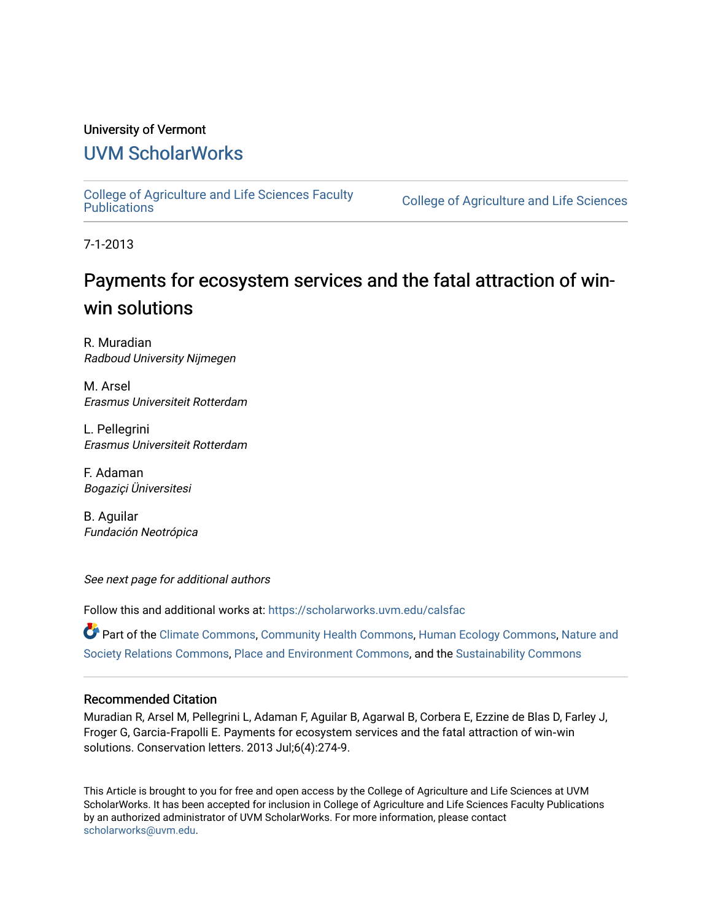## University of Vermont

# [UVM ScholarWorks](https://scholarworks.uvm.edu/)

[College of Agriculture and Life Sciences Faculty](https://scholarworks.uvm.edu/calsfac) 

**College of Agriculture and Life Sciences** 

7-1-2013

# Payments for ecosystem services and the fatal attraction of winwin solutions

R. Muradian Radboud University Nijmegen

M. Arsel Erasmus Universiteit Rotterdam

L. Pellegrini Erasmus Universiteit Rotterdam

F. Adaman Bogaziçi Üniversitesi

B. Aguilar Fundación Neotrópica

See next page for additional authors

Follow this and additional works at: [https://scholarworks.uvm.edu/calsfac](https://scholarworks.uvm.edu/calsfac?utm_source=scholarworks.uvm.edu%2Fcalsfac%2F52&utm_medium=PDF&utm_campaign=PDFCoverPages)

Part of the [Climate Commons,](http://network.bepress.com/hgg/discipline/188?utm_source=scholarworks.uvm.edu%2Fcalsfac%2F52&utm_medium=PDF&utm_campaign=PDFCoverPages) [Community Health Commons,](http://network.bepress.com/hgg/discipline/714?utm_source=scholarworks.uvm.edu%2Fcalsfac%2F52&utm_medium=PDF&utm_campaign=PDFCoverPages) [Human Ecology Commons,](http://network.bepress.com/hgg/discipline/1335?utm_source=scholarworks.uvm.edu%2Fcalsfac%2F52&utm_medium=PDF&utm_campaign=PDFCoverPages) [Nature and](http://network.bepress.com/hgg/discipline/357?utm_source=scholarworks.uvm.edu%2Fcalsfac%2F52&utm_medium=PDF&utm_campaign=PDFCoverPages) [Society Relations Commons](http://network.bepress.com/hgg/discipline/357?utm_source=scholarworks.uvm.edu%2Fcalsfac%2F52&utm_medium=PDF&utm_campaign=PDFCoverPages), [Place and Environment Commons](http://network.bepress.com/hgg/discipline/424?utm_source=scholarworks.uvm.edu%2Fcalsfac%2F52&utm_medium=PDF&utm_campaign=PDFCoverPages), and the [Sustainability Commons](http://network.bepress.com/hgg/discipline/1031?utm_source=scholarworks.uvm.edu%2Fcalsfac%2F52&utm_medium=PDF&utm_campaign=PDFCoverPages)

## Recommended Citation

Muradian R, Arsel M, Pellegrini L, Adaman F, Aguilar B, Agarwal B, Corbera E, Ezzine de Blas D, Farley J, Froger G, Garcia‐Frapolli E. Payments for ecosystem services and the fatal attraction of win‐win solutions. Conservation letters. 2013 Jul;6(4):274-9.

This Article is brought to you for free and open access by the College of Agriculture and Life Sciences at UVM ScholarWorks. It has been accepted for inclusion in College of Agriculture and Life Sciences Faculty Publications by an authorized administrator of UVM ScholarWorks. For more information, please contact [scholarworks@uvm.edu](mailto:scholarworks@uvm.edu).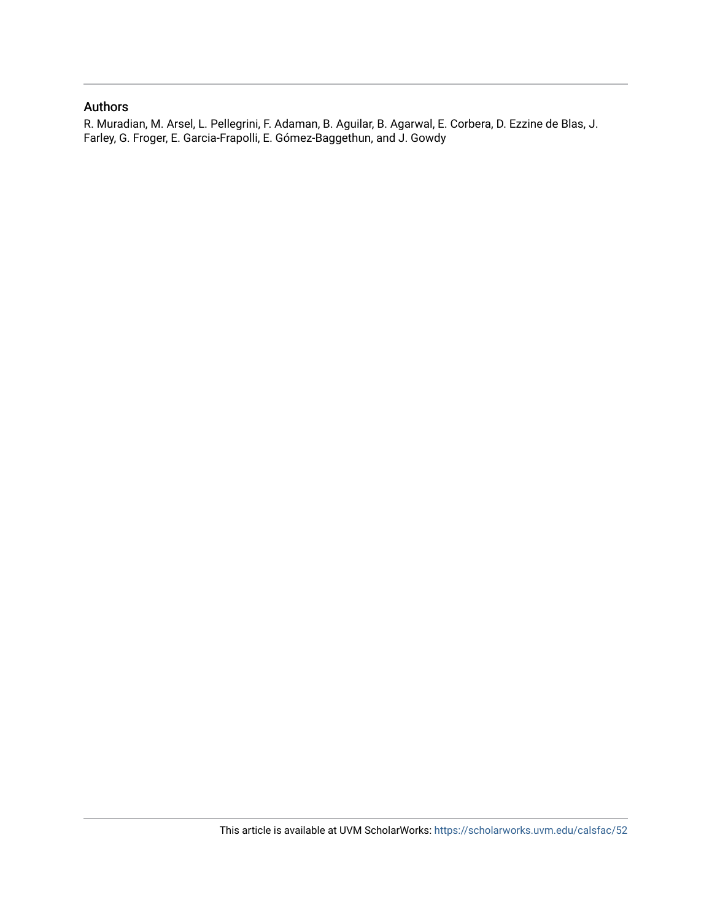## Authors

R. Muradian, M. Arsel, L. Pellegrini, F. Adaman, B. Aguilar, B. Agarwal, E. Corbera, D. Ezzine de Blas, J. Farley, G. Froger, E. Garcia-Frapolli, E. Gómez-Baggethun, and J. Gowdy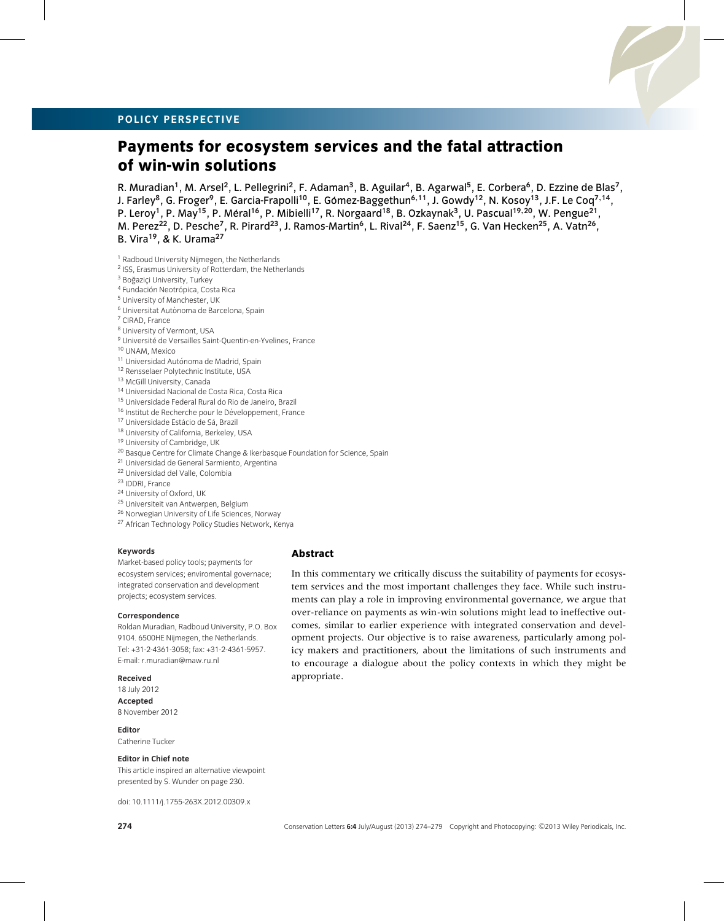## **POLICY PERSPECTIVE**

## **Payments for ecosystem services and the fatal attraction of win-win solutions**

R. Muradian**1**, M. Arsel**2**, L. Pellegrini**2**, F. Adaman**3**, B. Aguilar**4**, B. Agarwal**5**, E. Corbera**6**, D. Ezzine de Blas**7**, J. Farley**8**, G. Froger**9**, E. Garcia-Frapolli**10**, E. Gomez-Baggethun ´ **<sup>6</sup>***,***11**, J. Gowdy**12**, N. Kosoy**13**, J.F. Le Coq**7***,***14**, P. Leroy**1**, P. May**15**, P. Meral ´ **<sup>16</sup>**, P. Mibielli**17**, R. Norgaard**18**, B. Ozkaynak**3**, U. Pascual**19***,***20**, W. Pengue**21**, M. Perez**22**, D. Pesche**7**, R. Pirard**23**, J. Ramos-Martin**6**, L. Rival**24**, F. Saenz**15**, G. Van Hecken**25**, A. Vatn**26**, B. Vira**19**, & K. Urama**<sup>27</sup>**

- <sup>1</sup> Radboud University Nijmegen, the Netherlands
- <sup>2</sup> ISS, Erasmus University of Rotterdam, the Netherlands
- <sup>3</sup> Boğaziçi University, Turkey
- <sup>4</sup> Fundación Neotrópica, Costa Rica
- <sup>5</sup> University of Manchester, UK
- <sup>6</sup> Universitat Autònoma de Barcelona, Spain
- <sup>7</sup> CIRAD, France
- <sup>8</sup> University of Vermont, USA
- <sup>9</sup> Université de Versailles Saint-Quentin-en-Yvelines, France
- <sup>10</sup> UNAM, Mexico
- <sup>11</sup> Universidad Autónoma de Madrid, Spain
- <sup>12</sup> Rensselaer Polytechnic Institute, USA
- 13 McGill University, Canada
- <sup>14</sup> Universidad Nacional de Costa Rica, Costa Rica
- <sup>15</sup> Universidade Federal Rural do Rio de Janeiro, Brazil
- 16 Institut de Recherche pour le Développement, France
- 17 Universidade Estácio de Sá, Brazil
- 18 University of California, Berkeley, USA
- 19 University of Cambridge, UK
- <sup>20</sup> Basque Centre for Climate Change & Ikerbasque Foundation for Science, Spain
- <sup>21</sup> Universidad de General Sarmiento, Argentina
- <sup>22</sup> Universidad del Valle, Colombia
- <sup>23</sup> IDDRI, France
- <sup>24</sup> University of Oxford, UK
- <sup>25</sup> Universiteit van Antwerpen, Belgium
- <sup>26</sup> Norwegian University of Life Sciences, Norway
- <sup>27</sup> African Technology Policy Studies Network, Kenya

#### **Keywords**

Market-based policy tools; payments for ecosystem services; enviromental governace; integrated conservation and development projects; ecosystem services.

#### **Correspondence**

Roldan Muradian, Radboud University, P.O. Box 9104. 6500HE Nijmegen, the Netherlands. Tel: +31-2-4361-3058; fax: +31-2-4361-5957. E-mail: r.muradian@maw.ru.nl

#### **Received**

18 July 2012 **Accepted** 8 November 2012

**Editor** Catherine Tucker

#### **Editor in Chief note**

This article inspired an alternative viewpoint presented by S. Wunder on page 230.

doi: 10.1111/j.1755-263X.2012.00309.x

#### **Abstract**

In this commentary we critically discuss the suitability of payments for ecosystem services and the most important challenges they face. While such instruments can play a role in improving environmental governance, we argue that over-reliance on payments as win-win solutions might lead to ineffective outcomes, similar to earlier experience with integrated conservation and development projects. Our objective is to raise awareness, particularly among policy makers and practitioners, about the limitations of such instruments and to encourage a dialogue about the policy contexts in which they might be appropriate.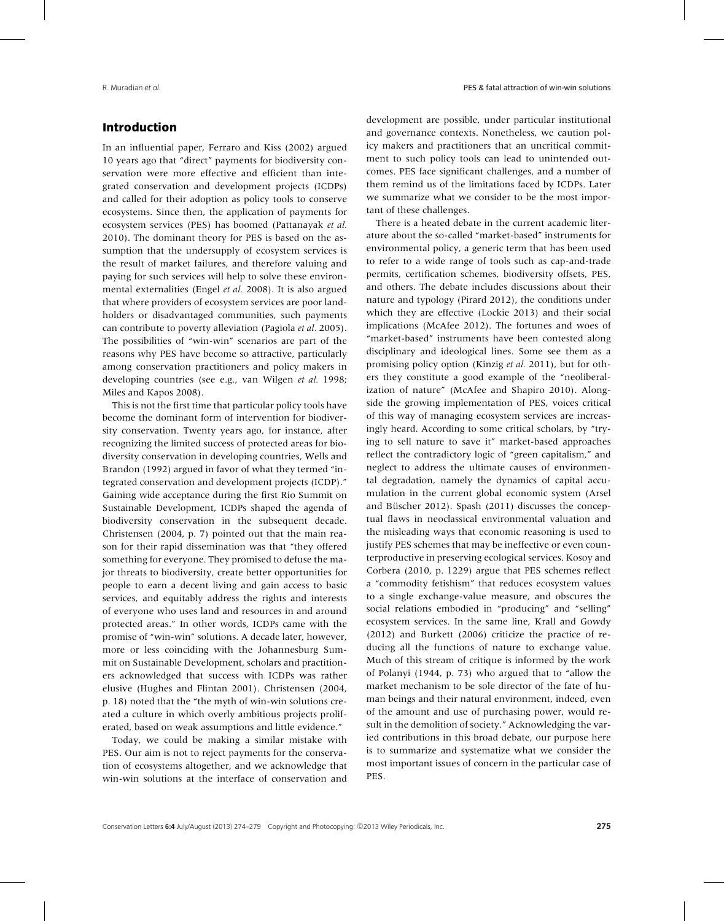## **Introduction**

In an influential paper, Ferraro and Kiss (2002) argued 10 years ago that "direct" payments for biodiversity conservation were more effective and efficient than integrated conservation and development projects (ICDPs) and called for their adoption as policy tools to conserve ecosystems. Since then, the application of payments for ecosystem services (PES) has boomed (Pattanayak *et al.* 2010). The dominant theory for PES is based on the assumption that the undersupply of ecosystem services is the result of market failures, and therefore valuing and paying for such services will help to solve these environmental externalities (Engel *et al.* 2008). It is also argued that where providers of ecosystem services are poor landholders or disadvantaged communities, such payments can contribute to poverty alleviation (Pagiola *et al.* 2005). The possibilities of "win-win" scenarios are part of the reasons why PES have become so attractive, particularly among conservation practitioners and policy makers in developing countries (see e.g., van Wilgen *et al.* 1998; Miles and Kapos 2008).

This is not the first time that particular policy tools have become the dominant form of intervention for biodiversity conservation. Twenty years ago, for instance, after recognizing the limited success of protected areas for biodiversity conservation in developing countries, Wells and Brandon (1992) argued in favor of what they termed "integrated conservation and development projects (ICDP)." Gaining wide acceptance during the first Rio Summit on Sustainable Development, ICDPs shaped the agenda of biodiversity conservation in the subsequent decade. Christensen (2004, p. 7) pointed out that the main reason for their rapid dissemination was that "they offered something for everyone. They promised to defuse the major threats to biodiversity, create better opportunities for people to earn a decent living and gain access to basic services, and equitably address the rights and interests of everyone who uses land and resources in and around protected areas." In other words, ICDPs came with the promise of "win-win" solutions. A decade later, however, more or less coinciding with the Johannesburg Summit on Sustainable Development, scholars and practitioners acknowledged that success with ICDPs was rather elusive (Hughes and Flintan 2001). Christensen (2004, p. 18) noted that the "the myth of win-win solutions created a culture in which overly ambitious projects proliferated, based on weak assumptions and little evidence."

Today, we could be making a similar mistake with PES. Our aim is not to reject payments for the conservation of ecosystems altogether, and we acknowledge that win-win solutions at the interface of conservation and

development are possible, under particular institutional and governance contexts. Nonetheless, we caution policy makers and practitioners that an uncritical commitment to such policy tools can lead to unintended outcomes. PES face significant challenges, and a number of them remind us of the limitations faced by ICDPs. Later we summarize what we consider to be the most important of these challenges.

There is a heated debate in the current academic literature about the so-called "market-based" instruments for environmental policy, a generic term that has been used to refer to a wide range of tools such as cap-and-trade permits, certification schemes, biodiversity offsets, PES, and others. The debate includes discussions about their nature and typology (Pirard 2012), the conditions under which they are effective (Lockie 2013) and their social implications (McAfee 2012). The fortunes and woes of "market-based" instruments have been contested along disciplinary and ideological lines. Some see them as a promising policy option (Kinzig *et al.* 2011), but for others they constitute a good example of the "neoliberalization of nature" (McAfee and Shapiro 2010). Alongside the growing implementation of PES, voices critical of this way of managing ecosystem services are increasingly heard. According to some critical scholars, by "trying to sell nature to save it" market-based approaches reflect the contradictory logic of "green capitalism," and neglect to address the ultimate causes of environmental degradation, namely the dynamics of capital accumulation in the current global economic system (Arsel and Büscher 2012). Spash (2011) discusses the conceptual flaws in neoclassical environmental valuation and the misleading ways that economic reasoning is used to justify PES schemes that may be ineffective or even counterproductive in preserving ecological services. Kosoy and Corbera (2010, p. 1229) argue that PES schemes reflect a "commodity fetishism" that reduces ecosystem values to a single exchange-value measure, and obscures the social relations embodied in "producing" and "selling" ecosystem services. In the same line, Krall and Gowdy (2012) and Burkett (2006) criticize the practice of reducing all the functions of nature to exchange value. Much of this stream of critique is informed by the work of Polanyi (1944, p. 73) who argued that to "allow the market mechanism to be sole director of the fate of human beings and their natural environment, indeed, even of the amount and use of purchasing power, would result in the demolition of society." Acknowledging the varied contributions in this broad debate, our purpose here is to summarize and systematize what we consider the most important issues of concern in the particular case of PES.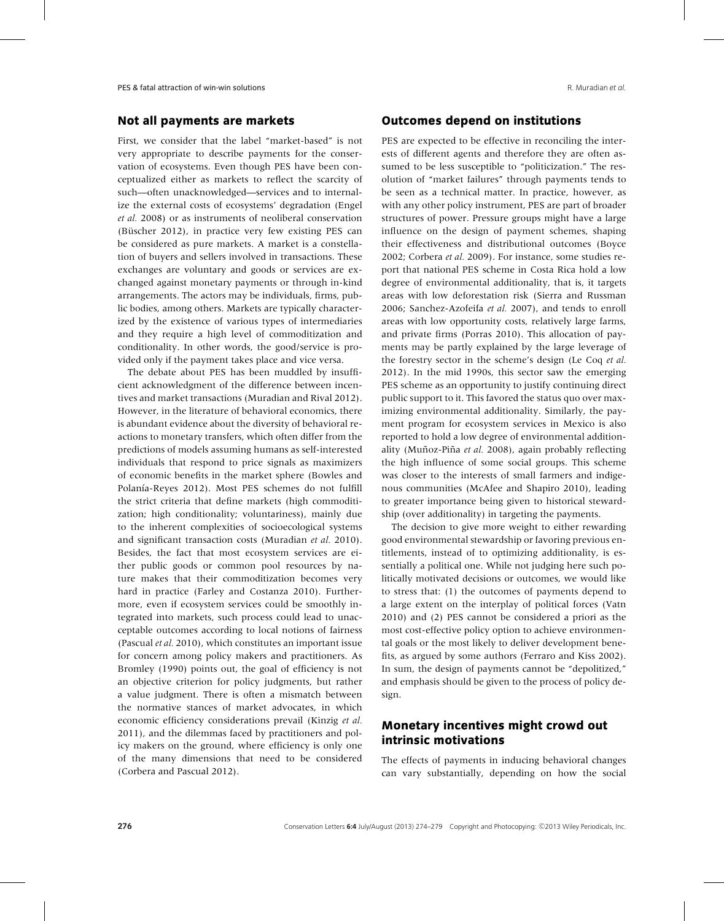First, we consider that the label "market-based" is not very appropriate to describe payments for the conservation of ecosystems. Even though PES have been conceptualized either as markets to reflect the scarcity of such—often unacknowledged—services and to internalize the external costs of ecosystems' degradation (Engel *et al.* 2008) or as instruments of neoliberal conservation (Büscher 2012), in practice very few existing PES can be considered as pure markets. A market is a constellation of buyers and sellers involved in transactions. These exchanges are voluntary and goods or services are exchanged against monetary payments or through in-kind arrangements. The actors may be individuals, firms, public bodies, among others. Markets are typically characterized by the existence of various types of intermediaries and they require a high level of commoditization and conditionality. In other words, the good/service is provided only if the payment takes place and vice versa.

The debate about PES has been muddled by insufficient acknowledgment of the difference between incentives and market transactions (Muradian and Rival 2012). However, in the literature of behavioral economics, there is abundant evidence about the diversity of behavioral reactions to monetary transfers, which often differ from the predictions of models assuming humans as self-interested individuals that respond to price signals as maximizers of economic benefits in the market sphere (Bowles and Polanía-Reyes 2012). Most PES schemes do not fulfill the strict criteria that define markets (high commoditization; high conditionality; voluntariness), mainly due to the inherent complexities of socioecological systems and significant transaction costs (Muradian *et al.* 2010). Besides, the fact that most ecosystem services are either public goods or common pool resources by nature makes that their commoditization becomes very hard in practice (Farley and Costanza 2010). Furthermore, even if ecosystem services could be smoothly integrated into markets, such process could lead to unacceptable outcomes according to local notions of fairness (Pascual *et al.* 2010), which constitutes an important issue for concern among policy makers and practitioners. As Bromley (1990) points out, the goal of efficiency is not an objective criterion for policy judgments, but rather a value judgment. There is often a mismatch between the normative stances of market advocates, in which economic efficiency considerations prevail (Kinzig *et al.* 2011), and the dilemmas faced by practitioners and policy makers on the ground, where efficiency is only one of the many dimensions that need to be considered (Corbera and Pascual 2012).

#### **Outcomes depend on institutions**

PES are expected to be effective in reconciling the interests of different agents and therefore they are often assumed to be less susceptible to "politicization." The resolution of "market failures" through payments tends to be seen as a technical matter. In practice, however, as with any other policy instrument, PES are part of broader structures of power. Pressure groups might have a large influence on the design of payment schemes, shaping their effectiveness and distributional outcomes (Boyce 2002; Corbera *et al.* 2009). For instance, some studies report that national PES scheme in Costa Rica hold a low degree of environmental additionality, that is, it targets areas with low deforestation risk (Sierra and Russman 2006; Sanchez-Azofeifa *et al.* 2007), and tends to enroll areas with low opportunity costs, relatively large farms, and private firms (Porras 2010). This allocation of payments may be partly explained by the large leverage of the forestry sector in the scheme's design (Le Coq *et al.* 2012). In the mid 1990s, this sector saw the emerging PES scheme as an opportunity to justify continuing direct public support to it. This favored the status quo over maximizing environmental additionality. Similarly, the payment program for ecosystem services in Mexico is also reported to hold a low degree of environmental additionality (Muñoz-Piña et al. 2008), again probably reflecting the high influence of some social groups. This scheme was closer to the interests of small farmers and indigenous communities (McAfee and Shapiro 2010), leading to greater importance being given to historical stewardship (over additionality) in targeting the payments.

The decision to give more weight to either rewarding good environmental stewardship or favoring previous entitlements, instead of to optimizing additionality, is essentially a political one. While not judging here such politically motivated decisions or outcomes, we would like to stress that: (1) the outcomes of payments depend to a large extent on the interplay of political forces (Vatn 2010) and (2) PES cannot be considered a priori as the most cost-effective policy option to achieve environmental goals or the most likely to deliver development benefits, as argued by some authors (Ferraro and Kiss 2002). In sum, the design of payments cannot be "depolitized," and emphasis should be given to the process of policy design.

## **Monetary incentives might crowd out intrinsic motivations**

The effects of payments in inducing behavioral changes can vary substantially, depending on how the social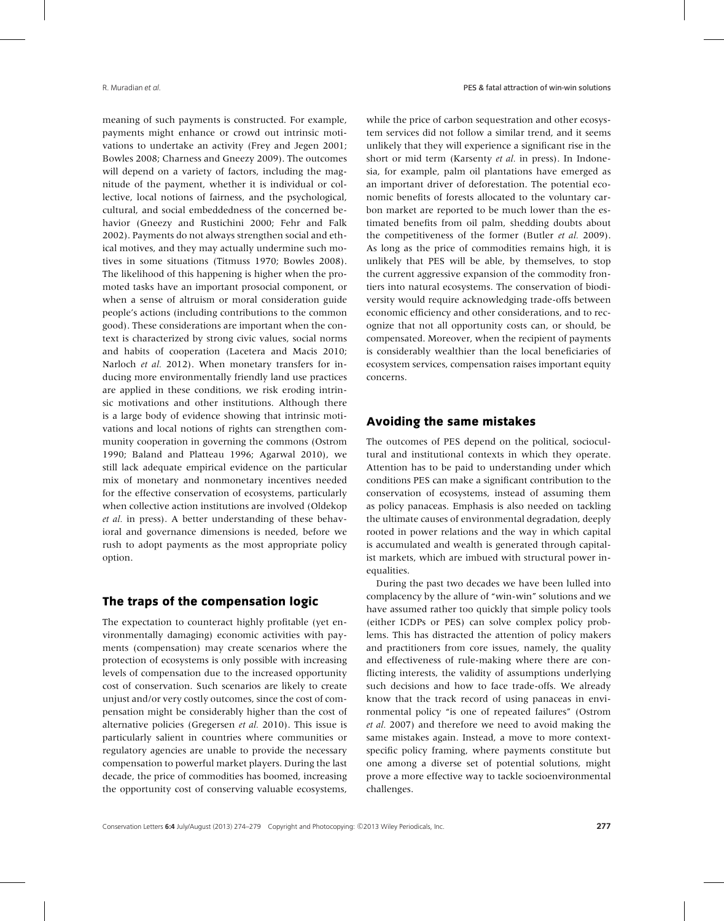meaning of such payments is constructed. For example, payments might enhance or crowd out intrinsic motivations to undertake an activity (Frey and Jegen 2001; Bowles 2008; Charness and Gneezy 2009). The outcomes will depend on a variety of factors, including the magnitude of the payment, whether it is individual or collective, local notions of fairness, and the psychological, cultural, and social embeddedness of the concerned behavior (Gneezy and Rustichini 2000; Fehr and Falk 2002). Payments do not always strengthen social and ethical motives, and they may actually undermine such motives in some situations (Titmuss 1970; Bowles 2008). The likelihood of this happening is higher when the promoted tasks have an important prosocial component, or when a sense of altruism or moral consideration guide people's actions (including contributions to the common good). These considerations are important when the context is characterized by strong civic values, social norms and habits of cooperation (Lacetera and Macis 2010; Narloch *et al.* 2012). When monetary transfers for inducing more environmentally friendly land use practices are applied in these conditions, we risk eroding intrinsic motivations and other institutions. Although there is a large body of evidence showing that intrinsic motivations and local notions of rights can strengthen community cooperation in governing the commons (Ostrom 1990; Baland and Platteau 1996; Agarwal 2010), we still lack adequate empirical evidence on the particular mix of monetary and nonmonetary incentives needed for the effective conservation of ecosystems, particularly when collective action institutions are involved (Oldekop *et al.* in press). A better understanding of these behavioral and governance dimensions is needed, before we rush to adopt payments as the most appropriate policy option.

## **The traps of the compensation logic**

The expectation to counteract highly profitable (yet environmentally damaging) economic activities with payments (compensation) may create scenarios where the protection of ecosystems is only possible with increasing levels of compensation due to the increased opportunity cost of conservation. Such scenarios are likely to create unjust and/or very costly outcomes, since the cost of compensation might be considerably higher than the cost of alternative policies (Gregersen *et al.* 2010). This issue is particularly salient in countries where communities or regulatory agencies are unable to provide the necessary compensation to powerful market players. During the last decade, the price of commodities has boomed, increasing the opportunity cost of conserving valuable ecosystems,

while the price of carbon sequestration and other ecosystem services did not follow a similar trend, and it seems unlikely that they will experience a significant rise in the short or mid term (Karsenty *et al.* in press). In Indonesia, for example, palm oil plantations have emerged as an important driver of deforestation. The potential economic benefits of forests allocated to the voluntary carbon market are reported to be much lower than the estimated benefits from oil palm, shedding doubts about the competitiveness of the former (Butler *et al.* 2009). As long as the price of commodities remains high, it is unlikely that PES will be able, by themselves, to stop the current aggressive expansion of the commodity frontiers into natural ecosystems. The conservation of biodiversity would require acknowledging trade-offs between economic efficiency and other considerations, and to recognize that not all opportunity costs can, or should, be compensated. Moreover, when the recipient of payments is considerably wealthier than the local beneficiaries of ecosystem services, compensation raises important equity concerns.

### **Avoiding the same mistakes**

The outcomes of PES depend on the political, sociocultural and institutional contexts in which they operate. Attention has to be paid to understanding under which conditions PES can make a significant contribution to the conservation of ecosystems, instead of assuming them as policy panaceas. Emphasis is also needed on tackling the ultimate causes of environmental degradation, deeply rooted in power relations and the way in which capital is accumulated and wealth is generated through capitalist markets, which are imbued with structural power inequalities.

During the past two decades we have been lulled into complacency by the allure of "win-win" solutions and we have assumed rather too quickly that simple policy tools (either ICDPs or PES) can solve complex policy problems. This has distracted the attention of policy makers and practitioners from core issues, namely, the quality and effectiveness of rule-making where there are conflicting interests, the validity of assumptions underlying such decisions and how to face trade-offs. We already know that the track record of using panaceas in environmental policy "is one of repeated failures" (Ostrom *et al.* 2007) and therefore we need to avoid making the same mistakes again. Instead, a move to more contextspecific policy framing, where payments constitute but one among a diverse set of potential solutions, might prove a more effective way to tackle socioenvironmental challenges.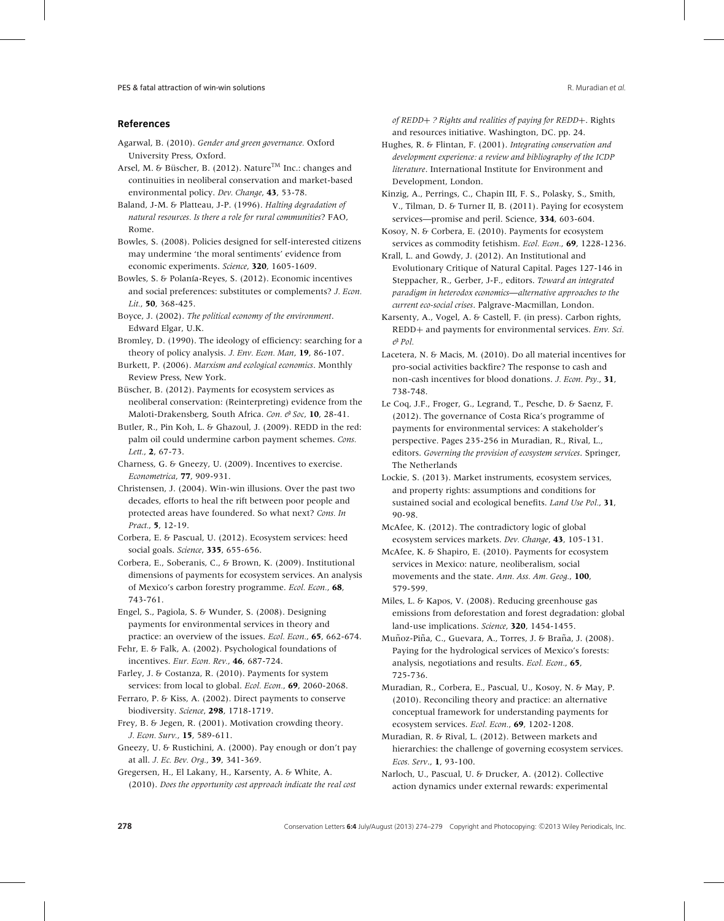#### **References**

- Agarwal, B. (2010). *Gender and green governance.* Oxford University Press, Oxford.
- Arsel, M. & Büscher, B. (2012). Nature™ Inc.: changes and continuities in neoliberal conservation and market-based environmental policy. *Dev. Change*, **43**, 53-78.
- Baland, J-M. & Platteau, J-P. (1996). *Halting degradation of natural resources. Is there a role for rural communities*? FAO, Rome.
- Bowles, S. (2008). Policies designed for self-interested citizens may undermine 'the moral sentiments' evidence from economic experiments. *Science*, **320**, 1605-1609.
- Bowles, S. & Polanía-Reyes, S. (2012). Economic incentives and social preferences: substitutes or complements? *J. Econ. Lit.*, **50**, 368-425.
- Boyce, J. (2002). *The political economy of the environment*. Edward Elgar, U.K.
- Bromley, D. (1990). The ideology of efficiency: searching for a theory of policy analysis. *J. Env. Econ. Man*, **19**, 86-107.
- Burkett, P. (2006). *Marxism and ecological economics*. Monthly Review Press, New York.
- Büscher, B. (2012). Payments for ecosystem services as neoliberal conservation: (Reinterpreting) evidence from the Maloti-Drakensberg, South Africa. *Con. & Soc*, **10**, 28-41.
- Butler, R., Pin Koh, L. & Ghazoul, J. (2009). REDD in the red: palm oil could undermine carbon payment schemes. *Cons. Lett.*, **2**, 67-73.
- Charness, G. & Gneezy, U. (2009). Incentives to exercise. *Econometrica*, **77**, 909-931.
- Christensen, J. (2004). Win-win illusions. Over the past two decades, efforts to heal the rift between poor people and protected areas have foundered. So what next? *Cons. In Pract.*, **5**, 12-19.
- Corbera, E. & Pascual, U. (2012). Ecosystem services: heed social goals. *Science*, **335**, 655-656.
- Corbera, E., Soberanis, C., & Brown, K. (2009). Institutional dimensions of payments for ecosystem services. An analysis of Mexico's carbon forestry programme. *Ecol. Econ.*, **68**, 743-761.
- Engel, S., Pagiola, S. & Wunder, S. (2008). Designing payments for environmental services in theory and practice: an overview of the issues. *Ecol. Econ.*, **65**, 662-674.
- Fehr, E. & Falk, A. (2002). Psychological foundations of incentives. *Eur. Econ. Rev.*, **46**, 687-724.
- Farley, J. & Costanza, R. (2010). Payments for system services: from local to global. *Ecol. Econ.*, **69**, 2060-2068.
- Ferraro, P. & Kiss, A. (2002). Direct payments to conserve biodiversity. *Science*, **298**, 1718-1719.
- Frey, B. & Jegen, R. (2001). Motivation crowding theory. *J. Econ. Surv.*, **15**, 589-611.
- Gneezy, U. & Rustichini, A. (2000). Pay enough or don't pay at all. *J. Ec. Bev. Org.*, **39**, 341-369.
- Gregersen, H., El Lakany, H., Karsenty, A. & White, A. (2010). *Does the opportunity cost approach indicate the real cost*

*of REDD*+ *? Rights and realities of paying for REDD*+. Rights and resources initiative. Washington, DC. pp. 24.

- Hughes, R. & Flintan, F. (2001). *Integrating conservation and development experience: a review and bibliography of the ICDP literature*. International Institute for Environment and Development, London.
- Kinzig, A., Perrings, C., Chapin III, F. S., Polasky, S., Smith, V., Tilman, D. & Turner II, B. (2011). Paying for ecosystem services—promise and peril. Science, **334**, 603-604.
- Kosoy, N. & Corbera, E. (2010). Payments for ecosystem services as commodity fetishism. *Ecol. Econ.*, **69**, 1228-1236.
- Krall, L. and Gowdy, J. (2012). An Institutional and Evolutionary Critique of Natural Capital. Pages 127-146 in Steppacher, R., Gerber, J-F., editors. *Toward an integrated paradigm in heterodox economics—alternative approaches to the current eco-social crises*. Palgrave-Macmillan, London.
- Karsenty, A., Vogel, A. & Castell, F. (in press). Carbon rights, REDD+ and payments for environmental services. *Env. Sci. & Pol.*
- Lacetera, N. & Macis, M. (2010). Do all material incentives for pro-social activities backfire? The response to cash and non-cash incentives for blood donations. *J. Econ. Psy.*, **31**, 738-748.
- Le Coq, J.F., Froger, G., Legrand, T., Pesche, D. & Saenz, F. (2012). The governance of Costa Rica's programme of payments for environmental services: A stakeholder's perspective. Pages 235-256 in Muradian, R., Rival, L., editors. *Governing the provision of ecosystem services*. Springer, The Netherlands
- Lockie, S. (2013). Market instruments, ecosystem services, and property rights: assumptions and conditions for sustained social and ecological benefits. *Land Use Pol.*, **31**, 90-98.
- McAfee, K. (2012). The contradictory logic of global ecosystem services markets. *Dev. Change*, **43**, 105-131.
- McAfee, K. & Shapiro, E. (2010). Payments for ecosystem services in Mexico: nature, neoliberalism, social movements and the state. *Ann. Ass. Am. Geog.*, **100**, 579-599.
- Miles, L. & Kapos, V. (2008). Reducing greenhouse gas emissions from deforestation and forest degradation: global land-use implications. *Science*, **320**, 1454-1455.
- Muñoz-Piña, C., Guevara, A., Torres, J. & Braña, J. (2008). Paying for the hydrological services of Mexico's forests: analysis, negotiations and results. *Ecol. Econ.*, **65**, 725-736.
- Muradian, R., Corbera, E., Pascual, U., Kosoy, N. & May, P. (2010). Reconciling theory and practice: an alternative conceptual framework for understanding payments for ecosystem services. *Ecol. Econ.*, **69**, 1202-1208.
- Muradian, R. & Rival, L. (2012). Between markets and hierarchies: the challenge of governing ecosystem services. *Ecos. Serv*., **1**, 93-100.
- Narloch, U., Pascual, U. & Drucker, A. (2012). Collective action dynamics under external rewards: experimental